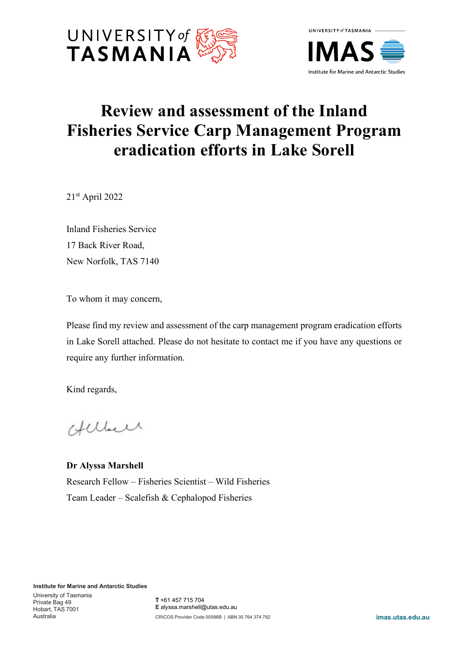



## **Review and assessment of the Inland Fisheries Service Carp Management Program eradication efforts in Lake Sorell**

21st April 2022

Inland Fisheries Service 17 Back River Road, New Norfolk, TAS 7140

To whom it may concern,

Please find my review and assessment of the carp management program eradication efforts in Lake Sorell attached. Please do not hesitate to contact me if you have any questions or require any further information.

Kind regards,

Helleer

**Dr Alyssa Marshell** Research Fellow – Fisheries Scientist – Wild Fisheries Team Leader – Scalefish & Cephalopod Fisheries

**Institute for Marine and Antarctic Studies**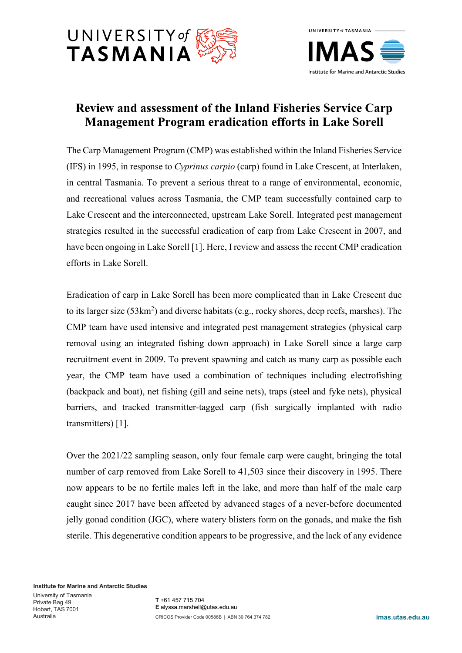



## **Review and assessment of the Inland Fisheries Service Carp Management Program eradication efforts in Lake Sorell**

The Carp Management Program (CMP) was established within the Inland Fisheries Service (IFS) in 1995, in response to *Cyprinus carpio* (carp) found in Lake Crescent, at Interlaken, in central Tasmania. To prevent a serious threat to a range of environmental, economic, and recreational values across Tasmania, the CMP team successfully contained carp to Lake Crescent and the interconnected, upstream Lake Sorell. Integrated pest management strategies resulted in the successful eradication of carp from Lake Crescent in 2007, and have been ongoing in Lake Sorell [1]. Here, I review and assess the recent CMP eradication efforts in Lake Sorell.

Eradication of carp in Lake Sorell has been more complicated than in Lake Crescent due to its larger size (53km<sup>2</sup>) and diverse habitats (e.g., rocky shores, deep reefs, marshes). The CMP team have used intensive and integrated pest management strategies (physical carp removal using an integrated fishing down approach) in Lake Sorell since a large carp recruitment event in 2009. To prevent spawning and catch as many carp as possible each year, the CMP team have used a combination of techniques including electrofishing (backpack and boat), net fishing (gill and seine nets), traps (steel and fyke nets), physical barriers, and tracked transmitter-tagged carp (fish surgically implanted with radio transmitters) [1].

Over the 2021/22 sampling season, only four female carp were caught, bringing the total number of carp removed from Lake Sorell to 41,503 since their discovery in 1995. There now appears to be no fertile males left in the lake, and more than half of the male carp caught since 2017 have been affected by advanced stages of a never-before documented jelly gonad condition (JGC), where watery blisters form on the gonads, and make the fish sterile. This degenerative condition appears to be progressive, and the lack of any evidence

**Institute for Marine and Antarctic Studies**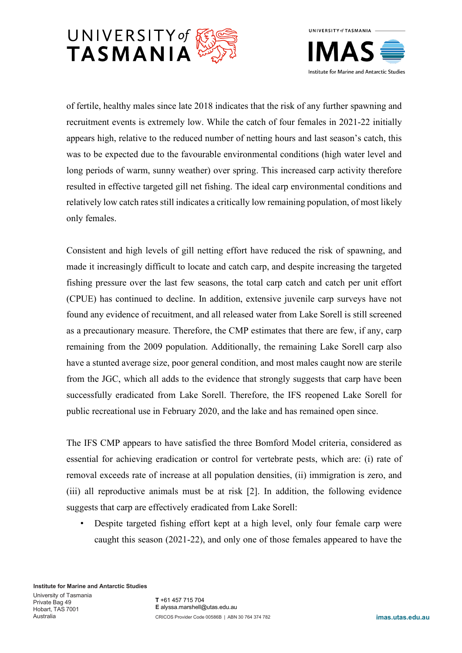



of fertile, healthy males since late 2018 indicates that the risk of any further spawning and recruitment events is extremely low. While the catch of four females in 2021-22 initially appears high, relative to the reduced number of netting hours and last season's catch, this was to be expected due to the favourable environmental conditions (high water level and long periods of warm, sunny weather) over spring. This increased carp activity therefore resulted in effective targeted gill net fishing. The ideal carp environmental conditions and relatively low catch rates still indicates a critically low remaining population, of most likely only females.

Consistent and high levels of gill netting effort have reduced the risk of spawning, and made it increasingly difficult to locate and catch carp, and despite increasing the targeted fishing pressure over the last few seasons, the total carp catch and catch per unit effort (CPUE) has continued to decline. In addition, extensive juvenile carp surveys have not found any evidence of recuitment, and all released water from Lake Sorell is still screened as a precautionary measure. Therefore, the CMP estimates that there are few, if any, carp remaining from the 2009 population. Additionally, the remaining Lake Sorell carp also have a stunted average size, poor general condition, and most males caught now are sterile from the JGC, which all adds to the evidence that strongly suggests that carp have been successfully eradicated from Lake Sorell. Therefore, the IFS reopened Lake Sorell for public recreational use in February 2020, and the lake and has remained open since.

The IFS CMP appears to have satisfied the three Bomford Model criteria, considered as essential for achieving eradication or control for vertebrate pests, which are: (i) rate of removal exceeds rate of increase at all population densities, (ii) immigration is zero, and (iii) all reproductive animals must be at risk [2]. In addition, the following evidence suggests that carp are effectively eradicated from Lake Sorell:

• Despite targeted fishing effort kept at a high level, only four female carp were caught this season (2021-22), and only one of those females appeared to have the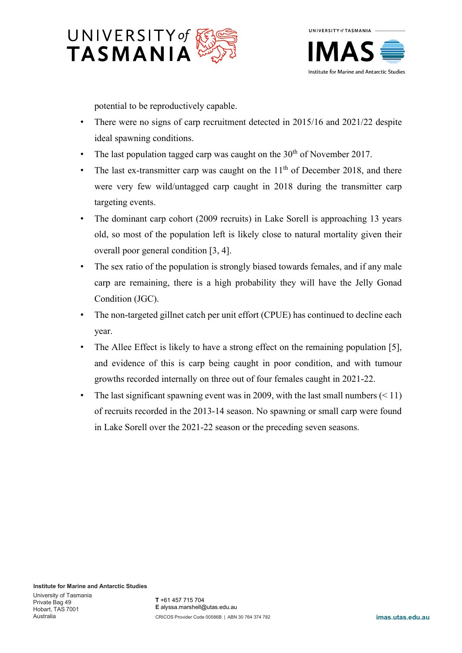



potential to be reproductively capable.

- There were no signs of carp recruitment detected in 2015/16 and 2021/22 despite ideal spawning conditions.
- The last population tagged carp was caught on the  $30<sup>th</sup>$  of November 2017.
- The last ex-transmitter carp was caught on the  $11<sup>th</sup>$  of December 2018, and there were very few wild/untagged carp caught in 2018 during the transmitter carp targeting events.
- The dominant carp cohort (2009 recruits) in Lake Sorell is approaching 13 years old, so most of the population left is likely close to natural mortality given their overall poor general condition [3, 4].
- The sex ratio of the population is strongly biased towards females, and if any male carp are remaining, there is a high probability they will have the Jelly Gonad Condition (JGC).
- The non-targeted gillnet catch per unit effort (CPUE) has continued to decline each year.
- The Allee Effect is likely to have a strong effect on the remaining population [5], and evidence of this is carp being caught in poor condition, and with tumour growths recorded internally on three out of four females caught in 2021-22.
- The last significant spawning event was in 2009, with the last small numbers  $(< 11$ ) of recruits recorded in the 2013-14 season. No spawning or small carp were found in Lake Sorell over the 2021-22 season or the preceding seven seasons.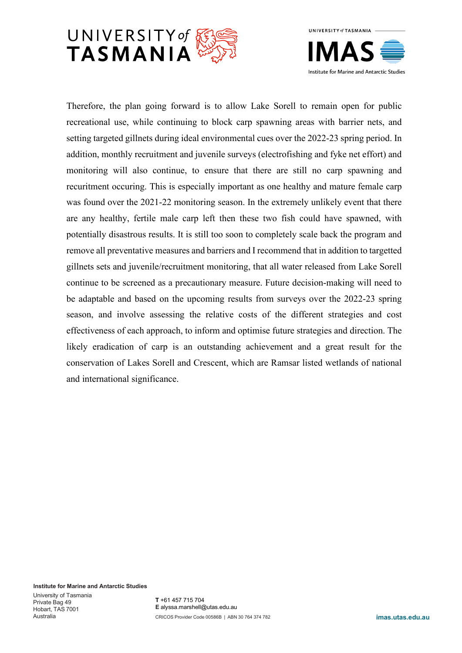



Therefore, the plan going forward is to allow Lake Sorell to remain open for public recreational use, while continuing to block carp spawning areas with barrier nets, and setting targeted gillnets during ideal environmental cues over the 2022-23 spring period. In addition, monthly recruitment and juvenile surveys (electrofishing and fyke net effort) and monitoring will also continue, to ensure that there are still no carp spawning and recuritment occuring. This is especially important as one healthy and mature female carp was found over the 2021-22 monitoring season. In the extremely unlikely event that there are any healthy, fertile male carp left then these two fish could have spawned, with potentially disastrous results. It is still too soon to completely scale back the program and remove all preventative measures and barriers and I recommend that in addition to targetted gillnets sets and juvenile/recruitment monitoring, that all water released from Lake Sorell continue to be screened as a precautionary measure. Future decision-making will need to be adaptable and based on the upcoming results from surveys over the 2022-23 spring season, and involve assessing the relative costs of the different strategies and cost effectiveness of each approach, to inform and optimise future strategies and direction. The likely eradication of carp is an outstanding achievement and a great result for the conservation of Lakes Sorell and Crescent, which are Ramsar listed wetlands of national and international significance.